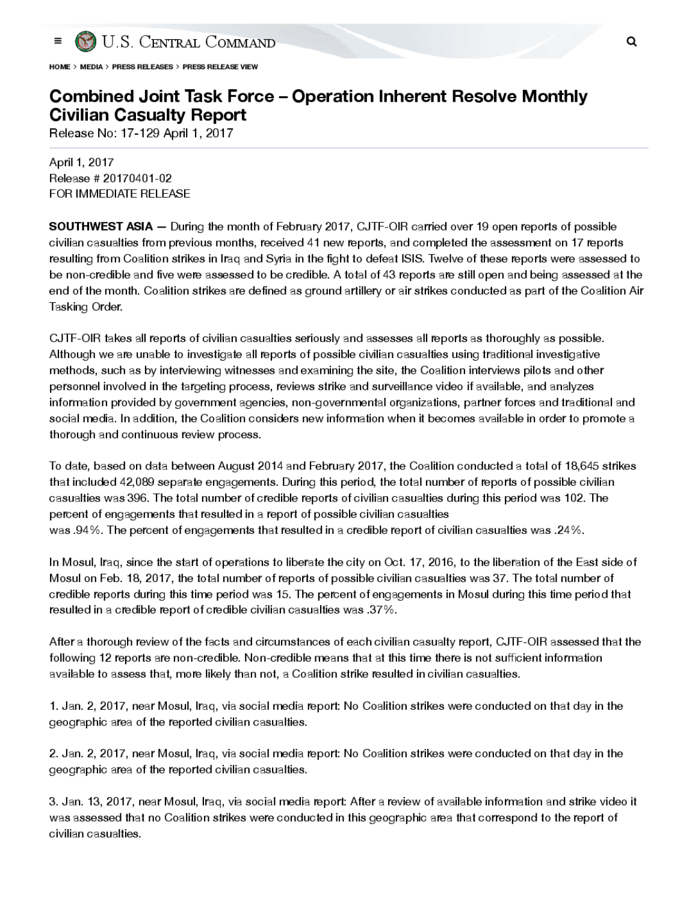

HOME <sup>&</sup>gt; MEDIA <sup>&</sup>gt; PRESS RELEASES <sup>&</sup>gt; PRESS RELEASE VIEW

## Combined Joint Task Force - Operation Inherent Resolve Monthly **Civilian Casualty Report**

Release No: 17-129 April 1, 2017

April 1, 2017 Release # 20170401-02 FOR IMMEDIATE RELEASE

**SOUTHWEST ASIA** - During the month of February 2017, CJTF-OIR carried over 19 open reports of possible civilian casualties from previous months, received 41 new reports, and completed the assessment on 17 reports resulting from Coalition strikes in Iraq and Syria in the fight to defeat ISIS. Twelve of these reports were assessed to be non -credible and five were assessed to be credible. A total of 43 reports are still open and being assessed at the end of the month. Coalition strikes are defined as ground artillery or air strikes conducted as part of the Coalition Air Tasking Order

CJTF-OIR takes all reports of civilian casualties seriously and assesses all reports as thoroughly as possible Although we are unable to investigate all reports of possible civilian casualties using traditional investigative methods, such as by interviewing witnesses and examining the site, the Coalition interviews pilots and other personnel involved in the targeting process, reviews strike and surveillance video if available, and analyzes information provided by government agencies, non-governmental organizations, partner forces and traditional and social media. In addition, the Coalition considers new information when it becomes available in order to promote a thorough and continuous review process.

To date, based on data between August 2014 and February 2017, the Coalition conducted a total of 18,645 strikes that included 42,089 separate engagements. During this period, the total number of reports of possible civilian casualties was 396. The total number of credible reports of civilian casualties during this period was 102. The percent of engagements that resulted in a report of possible civilian casualties was .94%. The percent of engagements that resulted in a credible report of civilian casualties was .24%.

In Mosul, Iraq, since the start of operations to liberate the city on Oct. 17, 2016, to the liberation of the East side of Mosul on Feb. 18, 2017, the total number of reports of possible civilian casualties was 37. The total number of credible reports during this time period was 15. The percent of engagements in Mosul during this time period that resulted in a credible report of credible civilian casualties was .37%.

After a thorough review of the facts and circumstances of each civilian casualty report, CJTF-OIR assessed that the following 12 reports are non-credible. Non-credible means that at this time there is not sufficient information available to assess that, more likely than not, a Coalition strike resulted in civilian casualties.

1. Jan. 2, 2017 near Mosul , Iraq, via social media report: No Coalition strikes were conducted on that day in the geographic area of the reported civilian casualties .

2. Jan. 2, 2017, near Mosul, Iraq, via social media report: No Coalition strikes were conducted on that day in the geographic area of the reported civilian casualties.

3. Jan. 13, 2017, near Mosul, Iraq, via social media report: After a review of available information and strike video it was assessed that no Coalition strikes were conducted in this geographic area that correspond to the report of civilian casualties.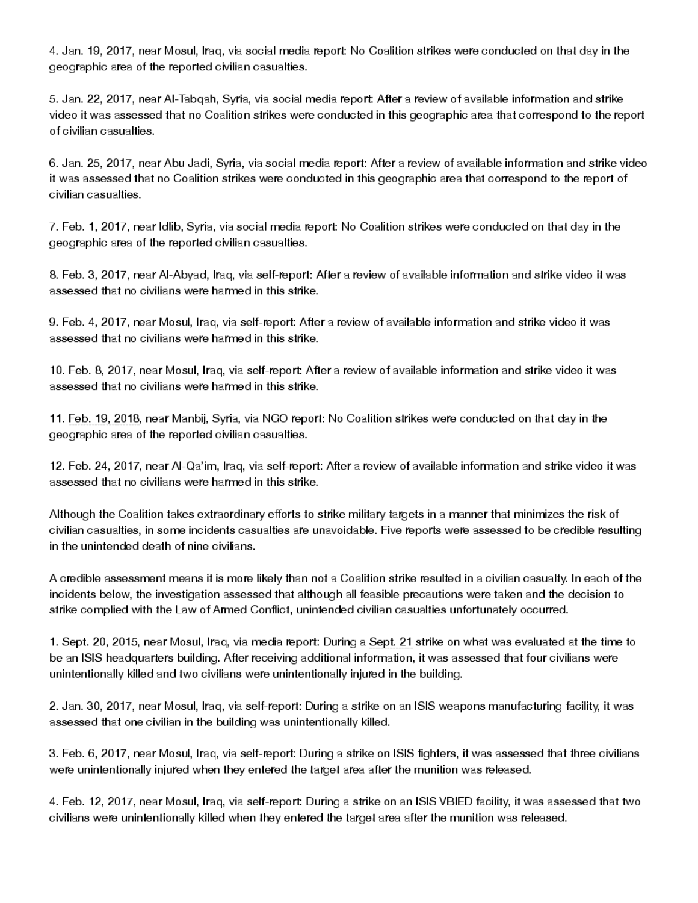4. Jan. 19, 2017, near Mosul, Iraq, via social media report: No Coalition strikes were conducted on that day in the geographic area of the reported civilian casualties.

5. Jan. 22, 2017, near Al-Tabqah, Syria, via social media report: After a review of available information and strike video it was assessed that no Coalition strikes were conducted in this geographic area that correspond to the report of civilian casualties

6. Jan. 25, 2017, near Abu Jadi, Syria, via social media report: After a review of available information and strike video it was assessed that no Coalition strikes were conducted in this geographic area that correspond to the report of civilian casualties.

7. Feb. 1, 2017, near Idlib, Syria, via social media report: No Coalition strikes were conducted on that day in the geographic area of the reported civilian casualties.

8. Feb. 3 , 2017, near Al-Abyad, Iraq, via self-report: After a review of available information and strike video it was assessed that no civilians were harmed in this strike.

9. Feb. 4 , 2017, near Mosul , Iraq, via self-report: After a review of available information and strike video it was assessed that no civilians were harmed in this strike.

10.Feb.8 , 2017, near Mosul, Iraq, via self-report: After <sup>a</sup> reviewof available informationand strike video itwas assessed that no civilians were harmed in this strike.

11. Feb. 19, 2018, near Manbij, Syria, via NGO report: No Coalition strikes were conducted on that day in the geographic area of the reported civilian casualties.

12.Feb.24 2017 nearAl-Qa'im, Iraq, via self- report: Aftera reviewof availableinformationand strikevideo it was assessed that no civilians were harmed in this strike.

Although the Coalition takes extraordinary efforts to strike military targets in a mannerthat minimizes the risk of civilian casualties, in some incidents casualties are unavoidable. Five reports were assessed to be credible resulting in the unintended death of nine civilians.

A credible assessment means it is more likely than not a Coalition strike resulted in a civilian casualty . In each of the incidents below, the investigation assessed that although all feasible precautions were taken and the decision to strike complied with the Law of Armed Conflict, unintended civilian casualties unfortunately occurred.

1. Sept. 20, 2015, near Mosul, Iraq, via media report: During a Sept. 21 strike on what was evaluated at the time to be an ISIS headquarters building. After receiving additional information, it was assessed that four civilians were unintentionally killed and two civilians were unintentionally injured in the building.

2. Jan. 30, 2017, near Mosul, Iraq, via self-report: During a strike on an ISIS weapons manufacturing facility, it was assessed that one civilian in the building was unintentionally killed.

3. Feb. 6, 2017, near Mosul, Iraq, via self-report: During a strike on ISIS fighters, it was assessed that three civilians were unintentionally injured when they entered the target area after the munition was released.

4. Feb. 12, 2017, near Mosul, Iraq, via self-report: During a strike on an ISIS VBIED facility, it was assessed that two civilians were unintentionally killed when they entered the target area after the munition was released.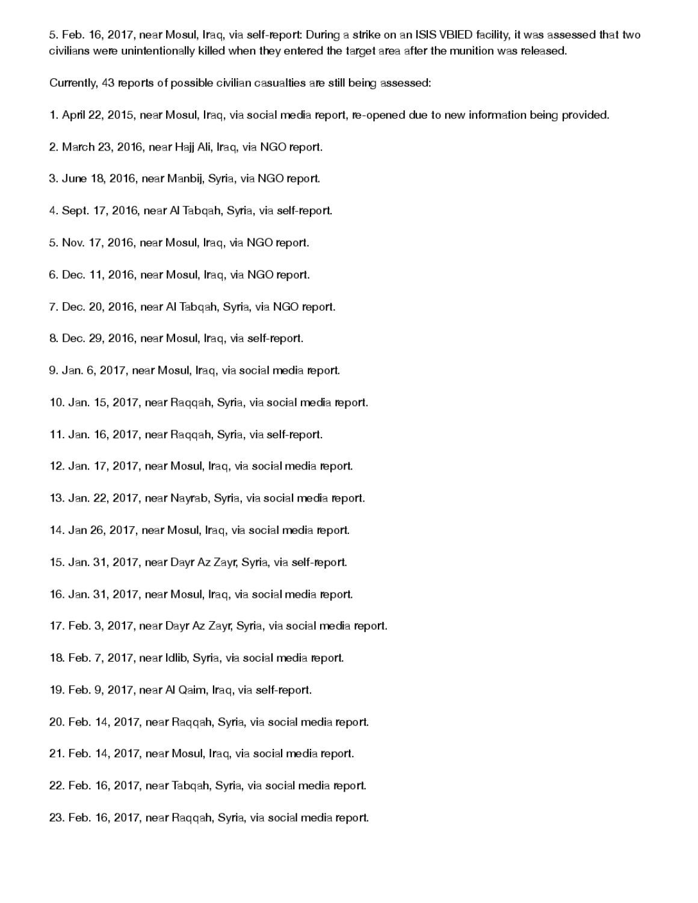5. Feb. 16, 2017, near Mosul, Iraq, via self-report: During a strike on an ISIS VBIED facility, it was assessed that two civilians were unintentionally killed when they entered the target area after the munition was released.

Currently, 43 reports of possible civilian casualties are still being assessed:

- 1. April 22, 2015, near Mosul, Iraq, via social media report, re- opened due to new information being provided.
- 2. March 23, 2016, near Hajj Ali, Iraq, via NGO report.
- 3. June 18, 2016, near Manbij, Syria, via NGO report.
- 4. Sept. 17, 2016, near Al Tabqah, Syria, via self-report.
- 5. Nov. 17, 2016, near Mosul, Iraq, via NGO report.
- 6. Dec. 11, 2016, near Mosul, Iraq, via NGO report.
- 7. Dec. 20, 2016, near Al Tabqah, Syria, via NGO report.
- 8. Dec. 29, 2016, near Mosul, Iraq, via self-report.
- 9. Jan. 6, 2017, near Mosul, Iraq, via social media report.
- 10. Jan. 15, 2017 near Raqqah , Syria, via social media report.
- 11. Jan. 16, 2017, near Raqqah, Syria, via self-report.
- 12. Jan. 17, 2017 near Mosul, Iraq, via social media report.
- 13. Jan. 22, 2017 near Nayrab, Syria, via social media report.
- 14. Jan 26, 2017, near Mosul, Iraq, via social media report.
- 15. Jan. 31, 2017 near Dayr Az Zayr, Syria, via self- report.
- 16. Jan. 31, 2017, near Mosul, Iraq, via social media report.
- 17. Feb. 3, 2017, near Dayr Az Zayr, Syria, via social media report.
- 18. Feb. 7, 2017, near Idlib, Syria, via social media report.
- 19. Feb. 9, 2017, near Al Qaim, Iraq, via self-report.
- 20. Feb. 14, 2017, near Raqqah, Syria, via social media report.
- 21. Feb. 14, 2017, near Mosul, Iraq, via social media report.
- 22. Feb. 16 2017 near Tabqah, Syria, via social media report.
- 23. Feb. 16, 2017, near Raqqah, Syria, via social media report.